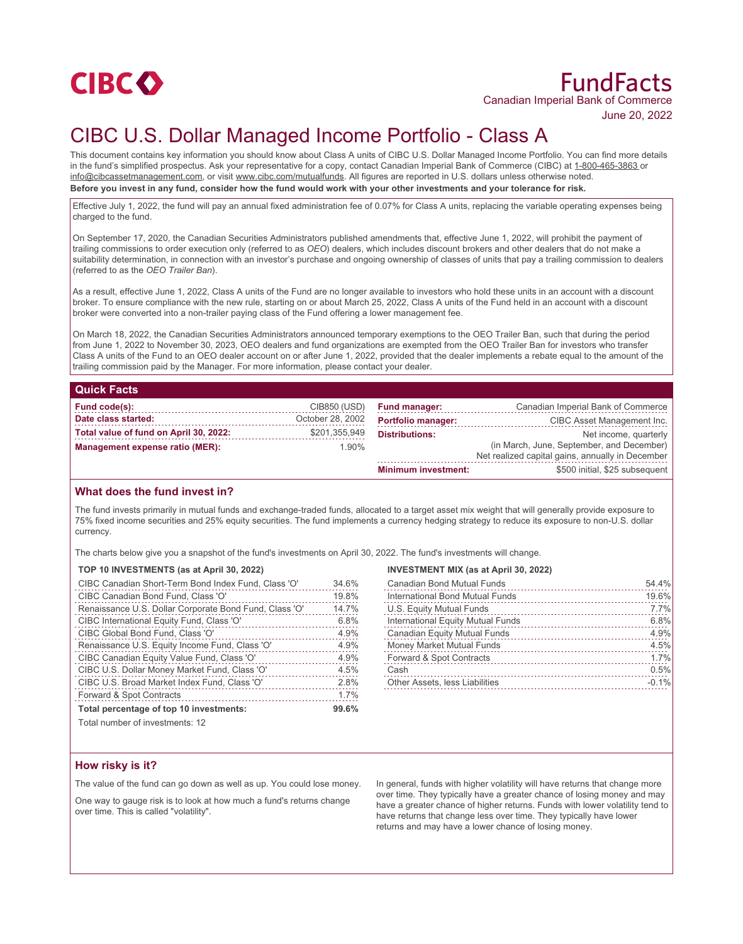

# FundFacts Canadian Imperial Bank of Commerce

June 20, 2022

## CIBC U.S. Dollar Managed Income Portfolio - Class A

This document contains key information you should know about Class A units of CIBC U.S. Dollar Managed Income Portfolio. You can find more details in the fund's simplified prospectus. Ask your representative for a copy, contact Canadian Imperial Bank of Commerce (CIBC) at 1-800-465-3863 or info@cibcassetmanagement.com, or visit www.cibc.com/mutualfunds. All figures are reported in U.S. dollars unless otherwise noted. **Before you invest in any fund, consider how the fund would work with your other investments and your tolerance for risk.**

Effective July 1, 2022, the fund will pay an annual fixed administration fee of 0.07% for Class A units, replacing the variable operating expenses being charged to the fund.

On September 17, 2020, the Canadian Securities Administrators published amendments that, effective June 1, 2022, will prohibit the payment of trailing commissions to order execution only (referred to as *OEO*) dealers, which includes discount brokers and other dealers that do not make a suitability determination, in connection with an investor's purchase and ongoing ownership of classes of units that pay a trailing commission to dealers (referred to as the *OEO Trailer Ban*).

As a result, effective June 1, 2022, Class A units of the Fund are no longer available to investors who hold these units in an account with a discount broker. To ensure compliance with the new rule, starting on or about March 25, 2022, Class A units of the Fund held in an account with a discount broker were converted into a non-trailer paying class of the Fund offering a lower management fee.

On March 18, 2022, the Canadian Securities Administrators announced temporary exemptions to the OEO Trailer Ban, such that during the period from June 1, 2022 to November 30, 2023, OEO dealers and fund organizations are exempted from the OEO Trailer Ban for investors who transfer Class A units of the Fund to an OEO dealer account on or after June 1, 2022, provided that the dealer implements a rebate equal to the amount of the trailing commission paid by the Manager. For more information, please contact your dealer.

### **Quick Facts**

| Fund code(s):                          | CIB850 (USD)     | <b>Fund manager:</b>       | Canadian Imperial Bank of Commerce               |
|----------------------------------------|------------------|----------------------------|--------------------------------------------------|
| Date class started:                    | October 28, 2002 | <b>Portfolio manager:</b>  | CIBC Asset Management Inc.                       |
| Total value of fund on April 30, 2022: | \$201,355,949    | <b>Distributions:</b>      | Net income, quarterly                            |
| Management expense ratio (MER):        | 1.90%            |                            | (in March, June, September, and December)        |
|                                        |                  |                            | Net realized capital gains, annually in December |
|                                        |                  | <b>Minimum investment:</b> | \$500 initial, \$25 subsequent                   |

#### **What does the fund invest in?**

The fund invests primarily in mutual funds and exchange-traded funds, allocated to a target asset mix weight that will generally provide exposure to 75% fixed income securities and 25% equity securities. The fund implements a currency hedging strategy to reduce its exposure to non-U.S. dollar currency.

The charts below give you a snapshot of the fund's investments on April 30, 2022. The fund's investments will change.

#### **TOP 10 INVESTMENTS (as at April 30, 2022)**

| CIBC Canadian Short-Term Bond Index Fund, Class 'O'    | 34.6% |
|--------------------------------------------------------|-------|
| CIBC Canadian Bond Fund, Class 'O'                     | 19.8% |
| Renaissance U.S. Dollar Corporate Bond Fund, Class 'O' | 14.7% |
| CIBC International Equity Fund, Class 'O'              | 6.8%  |
| CIBC Global Bond Fund, Class 'O'                       | 4.9%  |
| Renaissance U.S. Equity Income Fund, Class 'O'         | 4.9%  |
| CIBC Canadian Equity Value Fund, Class 'O'             | 4.9%  |
| CIBC U.S. Dollar Money Market Fund, Class 'O'          | 4.5%  |
| CIBC U.S. Broad Market Index Fund, Class 'O'           | 2.8%  |
| Forward & Spot Contracts                               | 1.7%  |
| Total percentage of top 10 investments:                | 99.6% |

#### **INVESTMENT MIX (as at April 30, 2022)**

| <b>Canadian Bond Mutual Funds</b>     | 54.4%   |
|---------------------------------------|---------|
| International Bond Mutual Funds       | 19.6%   |
| U.S. Equity Mutual Funds              | 7.7%    |
| International Equity Mutual Funds     | 6.8%    |
| <b>Canadian Equity Mutual Funds</b>   | 4.9%    |
| Money Market Mutual Funds             | 4.5%    |
| Forward & Spot Contracts              | 1.7%    |
| Cash                                  | 0.5%    |
| <b>Other Assets, less Liabilities</b> | $-0.1%$ |
|                                       |         |

Total number of investments: 12

#### **How risky is it?**

The value of the fund can go down as well as up. You could lose money.

One way to gauge risk is to look at how much a fund's returns change over time. This is called "volatility".

In general, funds with higher volatility will have returns that change more over time. They typically have a greater chance of losing money and may have a greater chance of higher returns. Funds with lower volatility tend to have returns that change less over time. They typically have lower returns and may have a lower chance of losing money.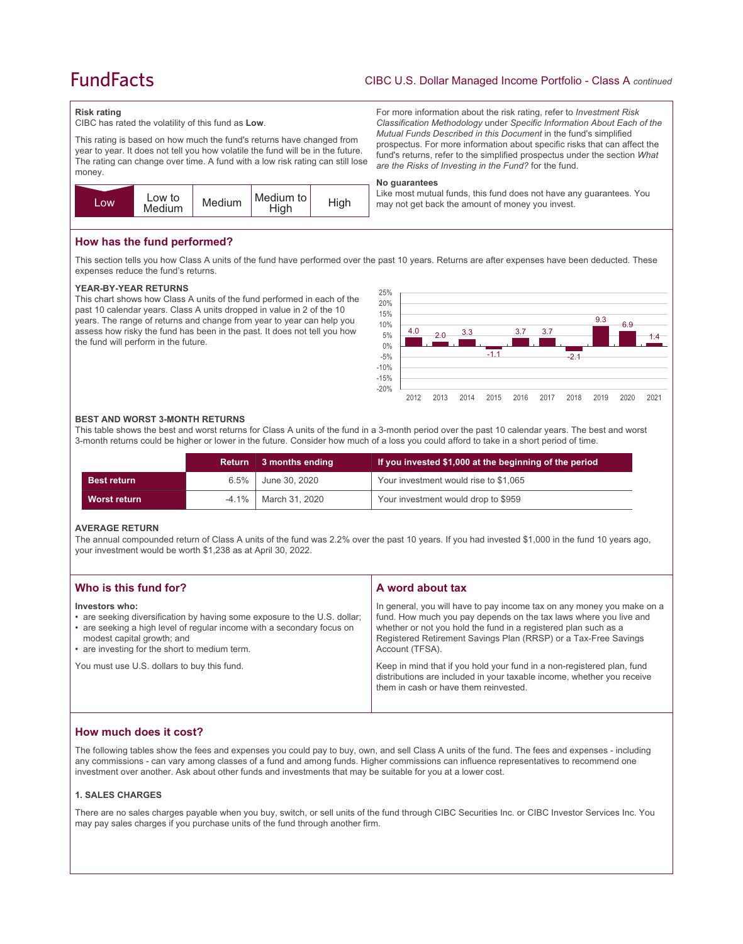### **FundFacts**

#### CIBC U.S. Dollar Managed Income Portfolio - Class A *continued*

For more information about the risk rating, refer to *Investment Risk Classification Methodology* under *Specific Information About Each of the Mutual Funds Described in this Document* in the fund's simplified prospectus. For more information about specific risks that can affect the fund's returns, refer to the simplified prospectus under the section *What* 

Like most mutual funds, this fund does not have any guarantees. You

*are the Risks of Investing in the Fund?* for the fund.

may not get back the amount of money you invest.

#### **Risk rating**

CIBC has rated the volatility of this fund as **Low**.

This rating is based on how much the fund's returns have changed from year to year. It does not tell you how volatile the fund will be in the future. The rating can change over time. A fund with a low risk rating can still lose money.



#### **How has the fund performed?**

This section tells you how Class A units of the fund have performed over the past 10 years. Returns are after expenses have been deducted. These expenses reduce the fund's returns.

**No guarantees**

#### **YEAR-BY-YEAR RETURNS**

This chart shows how Class A units of the fund performed in each of the past 10 calendar years. Class A units dropped in value in 2 of the 10 years. The range of returns and change from year to year can help you assess how risky the fund has been in the past. It does not tell you how the fund will perform in the future.



#### **BEST AND WORST 3-MONTH RETURNS**

This table shows the best and worst returns for Class A units of the fund in a 3-month period over the past 10 calendar years. The best and worst 3-month returns could be higher or lower in the future. Consider how much of a loss you could afford to take in a short period of time.

|                    | Return   | 3 months ending  | If you invested \$1,000 at the beginning of the period |
|--------------------|----------|------------------|--------------------------------------------------------|
| <b>Best return</b> | 6.5%     | June 30, 2020    | Your investment would rise to \$1,065                  |
| Worst return       | $-4.1\%$ | │ March 31. 2020 | Your investment would drop to \$959                    |

#### **AVERAGE RETURN**

The annual compounded return of Class A units of the fund was 2.2% over the past 10 years. If you had invested \$1,000 in the fund 10 years ago, your investment would be worth \$1,238 as at April 30, 2022.

| Who is this fund for?                                                                                                                                                                                                                                | A word about tax                                                                                                                                                                                                                                                                                     |
|------------------------------------------------------------------------------------------------------------------------------------------------------------------------------------------------------------------------------------------------------|------------------------------------------------------------------------------------------------------------------------------------------------------------------------------------------------------------------------------------------------------------------------------------------------------|
| Investors who:<br>• are seeking diversification by having some exposure to the U.S. dollar;<br>• are seeking a high level of regular income with a secondary focus on<br>modest capital growth; and<br>• are investing for the short to medium term. | In general, you will have to pay income tax on any money you make on a<br>fund. How much you pay depends on the tax laws where you live and<br>whether or not you hold the fund in a registered plan such as a<br>Registered Retirement Savings Plan (RRSP) or a Tax-Free Savings<br>Account (TFSA). |
| You must use U.S. dollars to buy this fund.                                                                                                                                                                                                          | Keep in mind that if you hold your fund in a non-registered plan, fund<br>distributions are included in your taxable income, whether you receive<br>them in cash or have them reinvested.                                                                                                            |

#### **How much does it cost?**

The following tables show the fees and expenses you could pay to buy, own, and sell Class A units of the fund. The fees and expenses - including any commissions - can vary among classes of a fund and among funds. Higher commissions can influence representatives to recommend one investment over another. Ask about other funds and investments that may be suitable for you at a lower cost.

#### **1. SALES CHARGES**

There are no sales charges payable when you buy, switch, or sell units of the fund through CIBC Securities Inc. or CIBC Investor Services Inc. You may pay sales charges if you purchase units of the fund through another firm.